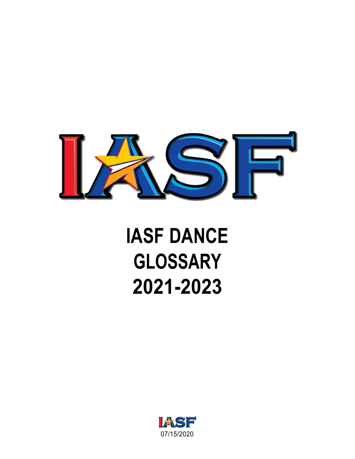

## **IASF DANCE GLOSSARY 2021-2023**

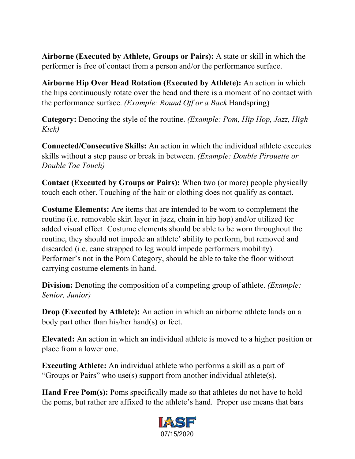**Airborne (Executed by Athlete, Groups or Pairs):** A state or skill in which the performer is free of contact from a person and/or the performance surface.

**Airborne Hip Over Head Rotation (Executed by Athlete):** An action in which the hips continuously rotate over the head and there is a moment of no contact with the performance surface. *(Example: Round Off or a Back* Handspring)

**Category:** Denoting the style of the routine. *(Example: Pom, Hip Hop, Jazz, High Kick)*

**Connected/Consecutive Skills:** An action in which the individual athlete executes skills without a step pause or break in between. *(Example: Double Pirouette or Double Toe Touch)*

**Contact (Executed by Groups or Pairs):** When two (or more) people physically touch each other. Touching of the hair or clothing does not qualify as contact.

**Costume Elements:** Are items that are intended to be worn to complement the routine (i.e. removable skirt layer in jazz, chain in hip hop) and/or utilized for added visual effect. Costume elements should be able to be worn throughout the routine, they should not impede an athlete' ability to perform, but removed and discarded (i.e. cane strapped to leg would impede performers mobility). Performer's not in the Pom Category, should be able to take the floor without carrying costume elements in hand.

**Division:** Denoting the composition of a competing group of athlete. *(Example: Senior, Junior)*

**Drop (Executed by Athlete):** An action in which an airborne athlete lands on a body part other than his/her hand(s) or feet.

**Elevated:** An action in which an individual athlete is moved to a higher position or place from a lower one.

**Executing Athlete:** An individual athlete who performs a skill as a part of "Groups or Pairs" who use(s) support from another individual athlete(s).

Hand Free Pom(s): Poms specifically made so that athletes do not have to hold the poms, but rather are affixed to the athlete's hand. Proper use means that bars

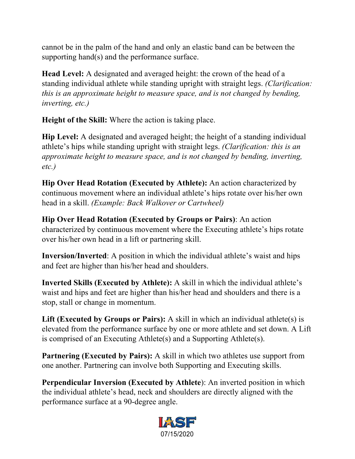cannot be in the palm of the hand and only an elastic band can be between the supporting hand(s) and the performance surface.

**Head Level:** A designated and averaged height: the crown of the head of a standing individual athlete while standing upright with straight legs. *(Clarification: this is an approximate height to measure space, and is not changed by bending, inverting, etc.)*

**Height of the Skill:** Where the action is taking place.

**Hip Level:** A designated and averaged height; the height of a standing individual athlete's hips while standing upright with straight legs. *(Clarification: this is an approximate height to measure space, and is not changed by bending, inverting, etc.)*

**Hip Over Head Rotation (Executed by Athlete):** An action characterized by continuous movement where an individual athlete's hips rotate over his/her own head in a skill. *(Example: Back Walkover or Cartwheel)*

**Hip Over Head Rotation (Executed by Groups or Pairs)**: An action characterized by continuous movement where the Executing athlete's hips rotate over his/her own head in a lift or partnering skill.

**Inversion/Inverted**: A position in which the individual athlete's waist and hips and feet are higher than his/her head and shoulders.

**Inverted Skills (Executed by Athlete):** A skill in which the individual athlete's waist and hips and feet are higher than his/her head and shoulders and there is a stop, stall or change in momentum.

Lift (Executed by Groups or Pairs): A skill in which an individual athlete(s) is elevated from the performance surface by one or more athlete and set down. A Lift is comprised of an Executing Athlete(s) and a Supporting Athlete(s).

**Partnering (Executed by Pairs):** A skill in which two athletes use support from one another. Partnering can involve both Supporting and Executing skills.

**Perpendicular Inversion (Executed by Athlete**): An inverted position in which the individual athlete's head, neck and shoulders are directly aligned with the performance surface at a 90-degree angle.